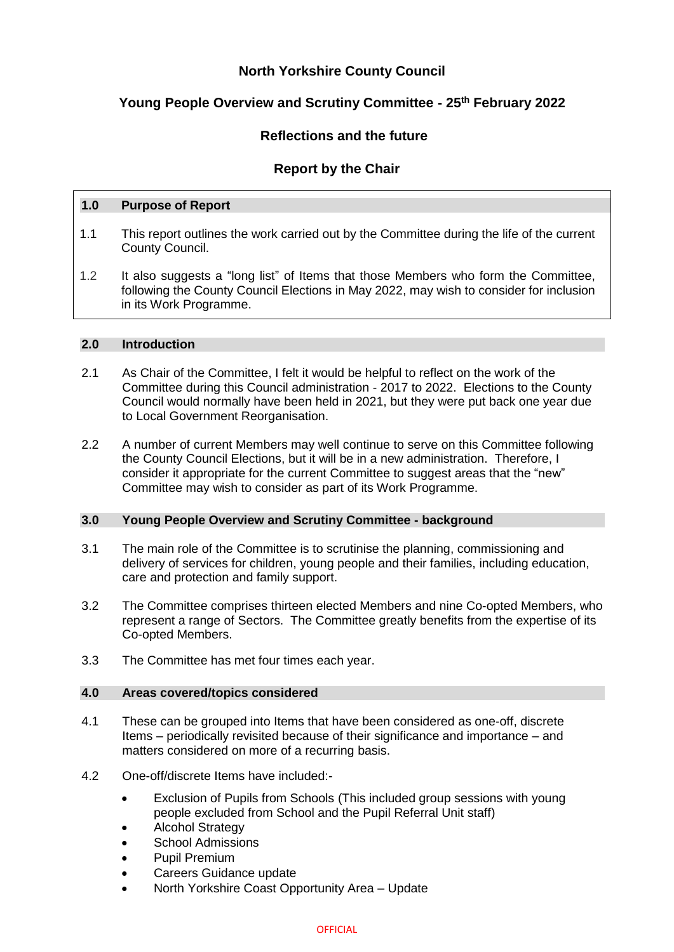## **North Yorkshire County Council**

# **Young People Overview and Scrutiny Committee - 25th February 2022**

## **Reflections and the future**

## **Report by the Chair**

### **1.0 Purpose of Report**

- 1.1 This report outlines the work carried out by the Committee during the life of the current County Council.
- 1.2 It also suggests a "long list" of Items that those Members who form the Committee, following the County Council Elections in May 2022, may wish to consider for inclusion in its Work Programme.

### **2.0 Introduction**

- 2.1 As Chair of the Committee, I felt it would be helpful to reflect on the work of the Committee during this Council administration - 2017 to 2022. Elections to the County Council would normally have been held in 2021, but they were put back one year due to Local Government Reorganisation.
- 2.2 A number of current Members may well continue to serve on this Committee following the County Council Elections, but it will be in a new administration. Therefore, I consider it appropriate for the current Committee to suggest areas that the "new" Committee may wish to consider as part of its Work Programme.

## **3.0 Young People Overview and Scrutiny Committee - background**

- 3.1 The main role of the Committee is to scrutinise the planning, commissioning and delivery of services for children, young people and their families, including education, care and protection and family support.
- 3.2 The Committee comprises thirteen elected Members and nine Co-opted Members, who represent a range of Sectors. The Committee greatly benefits from the expertise of its Co-opted Members.
- 3.3 The Committee has met four times each year.

#### **4.0 Areas covered/topics considered**

- 4.1 These can be grouped into Items that have been considered as one-off, discrete Items – periodically revisited because of their significance and importance – and matters considered on more of a recurring basis.
- 4.2 One-off/discrete Items have included:-
	- Exclusion of Pupils from Schools (This included group sessions with young people excluded from School and the Pupil Referral Unit staff)
	- Alcohol Strategy
	- School Admissions
	- Pupil Premium
	- Careers Guidance update
	- North Yorkshire Coast Opportunity Area Update

#### **OFFICIAL**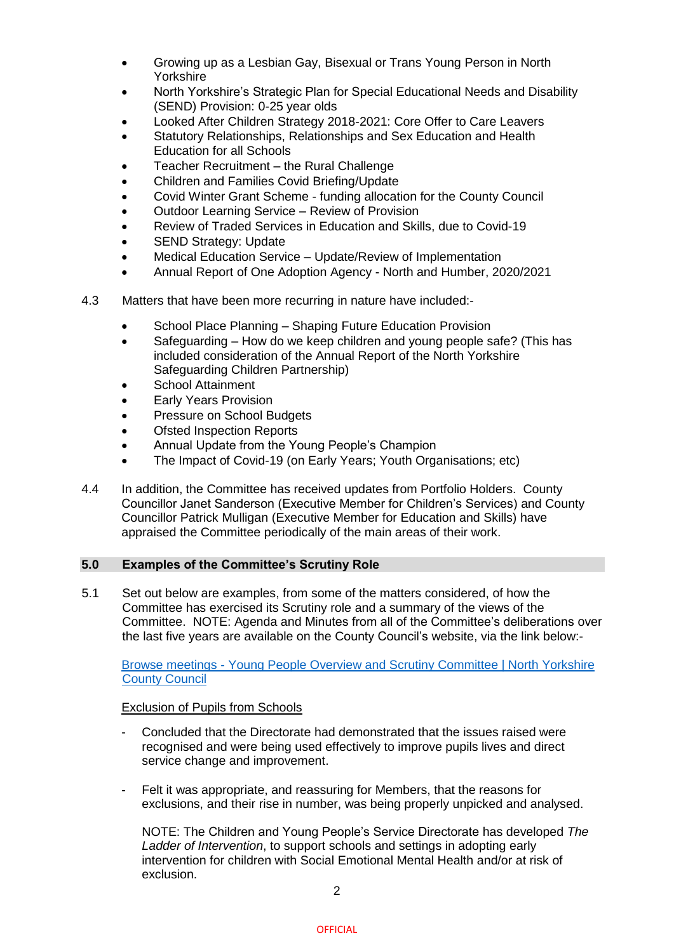- Growing up as a Lesbian Gay, Bisexual or Trans Young Person in North Yorkshire
- North Yorkshire's Strategic Plan for Special Educational Needs and Disability (SEND) Provision: 0-25 year olds
- Looked After Children Strategy 2018-2021: Core Offer to Care Leavers
- Statutory Relationships, Relationships and Sex Education and Health Education for all Schools
- Teacher Recruitment the Rural Challenge
- Children and Families Covid Briefing/Update
- Covid Winter Grant Scheme funding allocation for the County Council
- Outdoor Learning Service Review of Provision
- Review of Traded Services in Education and Skills, due to Covid-19
- SEND Strategy: Update
- Medical Education Service Update/Review of Implementation
- Annual Report of One Adoption Agency North and Humber, 2020/2021
- 4.3 Matters that have been more recurring in nature have included:-
	- School Place Planning Shaping Future Education Provision
	- Safeguarding How do we keep children and young people safe? (This has included consideration of the Annual Report of the North Yorkshire Safeguarding Children Partnership)
	- School Attainment
	- Early Years Provision
	- Pressure on School Budgets
	- Ofsted Inspection Reports
	- Annual Update from the Young People's Champion
	- The Impact of Covid-19 (on Early Years; Youth Organisations; etc)
- 4.4 In addition, the Committee has received updates from Portfolio Holders. County Councillor Janet Sanderson (Executive Member for Children's Services) and County Councillor Patrick Mulligan (Executive Member for Education and Skills) have appraised the Committee periodically of the main areas of their work.

## **5.0 Examples of the Committee's Scrutiny Role**

5.1 Set out below are examples, from some of the matters considered, of how the Committee has exercised its Scrutiny role and a summary of the views of the Committee. NOTE: Agenda and Minutes from all of the Committee's deliberations over the last five years are available on the County Council's website, via the link below:-

Browse meetings - [Young People Overview and Scrutiny Committee | North Yorkshire](https://edemocracy.northyorks.gov.uk/ieListMeetings.aspx?CommitteeId=1241)  [County Council](https://edemocracy.northyorks.gov.uk/ieListMeetings.aspx?CommitteeId=1241)

## Exclusion of Pupils from Schools

- Concluded that the Directorate had demonstrated that the issues raised were recognised and were being used effectively to improve pupils lives and direct service change and improvement.
- Felt it was appropriate, and reassuring for Members, that the reasons for exclusions, and their rise in number, was being properly unpicked and analysed.

NOTE: The Children and Young People's Service Directorate has developed *The Ladder of Intervention*, to support schools and settings in adopting early intervention for children with Social Emotional Mental Health and/or at risk of exclusion.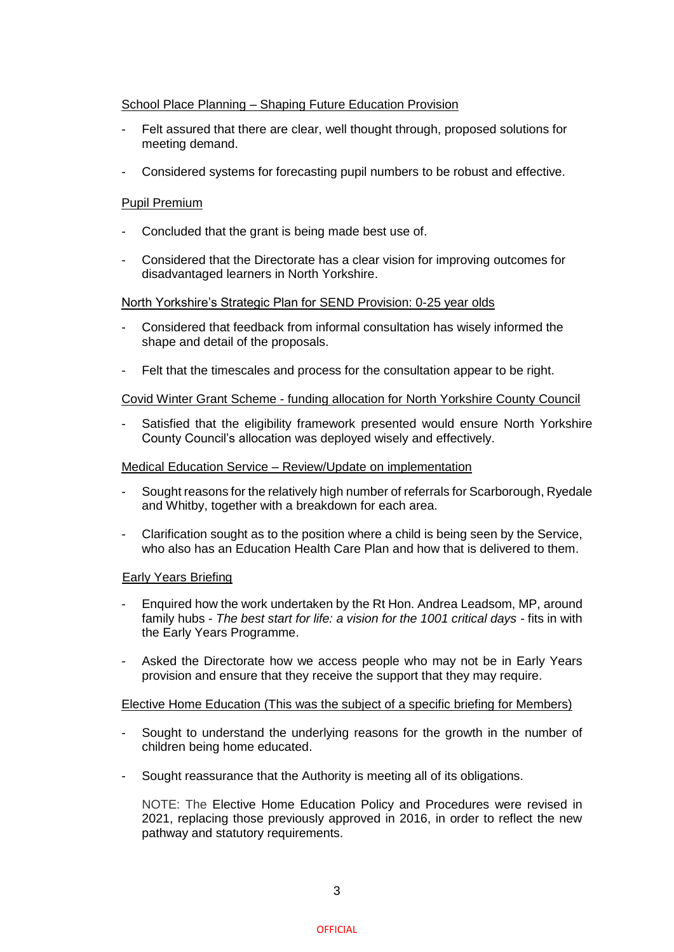## School Place Planning – Shaping Future Education Provision

- Felt assured that there are clear, well thought through, proposed solutions for meeting demand.
- Considered systems for forecasting pupil numbers to be robust and effective.

### Pupil Premium

- Concluded that the grant is being made best use of.
- Considered that the Directorate has a clear vision for improving outcomes for disadvantaged learners in North Yorkshire.

#### North Yorkshire's Strategic Plan for SEND Provision: 0-25 year olds

- Considered that feedback from informal consultation has wisely informed the shape and detail of the proposals.
- Felt that the timescales and process for the consultation appear to be right.

#### Covid Winter Grant Scheme - funding allocation for North Yorkshire County Council

Satisfied that the eligibility framework presented would ensure North Yorkshire County Council's allocation was deployed wisely and effectively.

#### Medical Education Service – Review/Update on implementation

- Sought reasons for the relatively high number of referrals for Scarborough, Ryedale and Whitby, together with a breakdown for each area.
- Clarification sought as to the position where a child is being seen by the Service, who also has an Education Health Care Plan and how that is delivered to them.

#### Early Years Briefing

- Enquired how the work undertaken by the Rt Hon. Andrea Leadsom, MP, around family hubs - *The best start for life: a vision for the 1001 critical days -* fits in with the Early Years Programme.
- Asked the Directorate how we access people who may not be in Early Years provision and ensure that they receive the support that they may require.

#### Elective Home Education (This was the subject of a specific briefing for Members)

- Sought to understand the underlying reasons for the growth in the number of children being home educated.
- Sought reassurance that the Authority is meeting all of its obligations.

NOTE: The Elective Home Education Policy and Procedures were revised in 2021, replacing those previously approved in 2016, in order to reflect the new pathway and statutory requirements.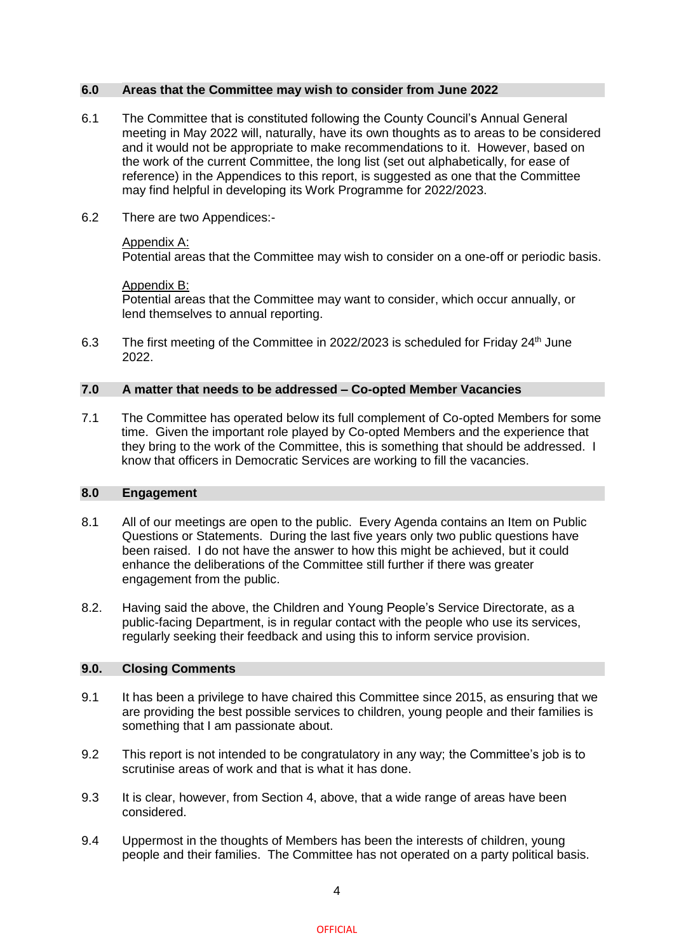#### **6.0 Areas that the Committee may wish to consider from June 2022**

- 6.1 The Committee that is constituted following the County Council's Annual General meeting in May 2022 will, naturally, have its own thoughts as to areas to be considered and it would not be appropriate to make recommendations to it. However, based on the work of the current Committee, the long list (set out alphabetically, for ease of reference) in the Appendices to this report, is suggested as one that the Committee may find helpful in developing its Work Programme for 2022/2023.
- 6.2 There are two Appendices:-

### Appendix A:

Potential areas that the Committee may wish to consider on a one-off or periodic basis.

#### Appendix B:

Potential areas that the Committee may want to consider, which occur annually, or lend themselves to annual reporting.

6.3 The first meeting of the Committee in 2022/2023 is scheduled for Friday  $24<sup>th</sup>$  June 2022.

#### **7.0 A matter that needs to be addressed – Co-opted Member Vacancies**

7.1 The Committee has operated below its full complement of Co-opted Members for some time. Given the important role played by Co-opted Members and the experience that they bring to the work of the Committee, this is something that should be addressed. I know that officers in Democratic Services are working to fill the vacancies.

## **8.0 Engagement**

- 8.1 All of our meetings are open to the public. Every Agenda contains an Item on Public Questions or Statements. During the last five years only two public questions have been raised. I do not have the answer to how this might be achieved, but it could enhance the deliberations of the Committee still further if there was greater engagement from the public.
- 8.2. Having said the above, the Children and Young People's Service Directorate, as a public-facing Department, is in regular contact with the people who use its services, regularly seeking their feedback and using this to inform service provision.

#### **9.0. Closing Comments**

- 9.1 It has been a privilege to have chaired this Committee since 2015, as ensuring that we are providing the best possible services to children, young people and their families is something that I am passionate about.
- 9.2 This report is not intended to be congratulatory in any way; the Committee's job is to scrutinise areas of work and that is what it has done.
- 9.3 It is clear, however, from Section 4, above, that a wide range of areas have been considered.
- 9.4 Uppermost in the thoughts of Members has been the interests of children, young people and their families. The Committee has not operated on a party political basis.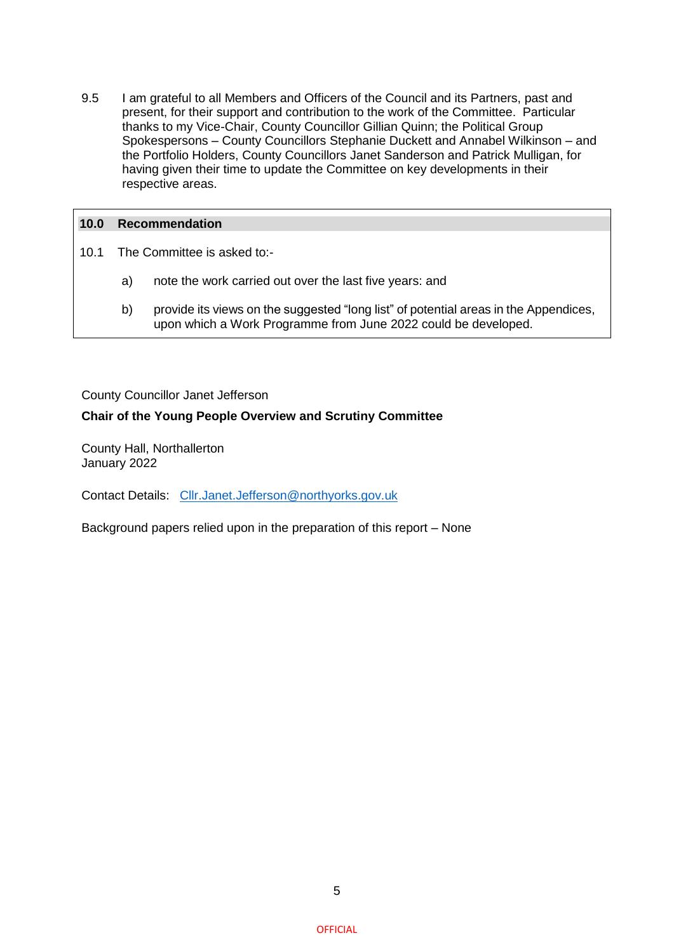9.5 I am grateful to all Members and Officers of the Council and its Partners, past and present, for their support and contribution to the work of the Committee. Particular thanks to my Vice-Chair, County Councillor Gillian Quinn; the Political Group Spokespersons – County Councillors Stephanie Duckett and Annabel Wilkinson – and the Portfolio Holders, County Councillors Janet Sanderson and Patrick Mulligan, for having given their time to update the Committee on key developments in their respective areas.

### **10.0 Recommendation**

- 10.1 The Committee is asked to:
	- a) note the work carried out over the last five years: and
	- b) provide its views on the suggested "long list" of potential areas in the Appendices, upon which a Work Programme from June 2022 could be developed.

County Councillor Janet Jefferson

## **Chair of the Young People Overview and Scrutiny Committee**

County Hall, Northallerton January 2022

Contact Details: [Cllr.Janet.Jefferson@northyorks.gov.uk](mailto:Cllr.Janet.Jefferson@northyorks.gov.uk)

Background papers relied upon in the preparation of this report – None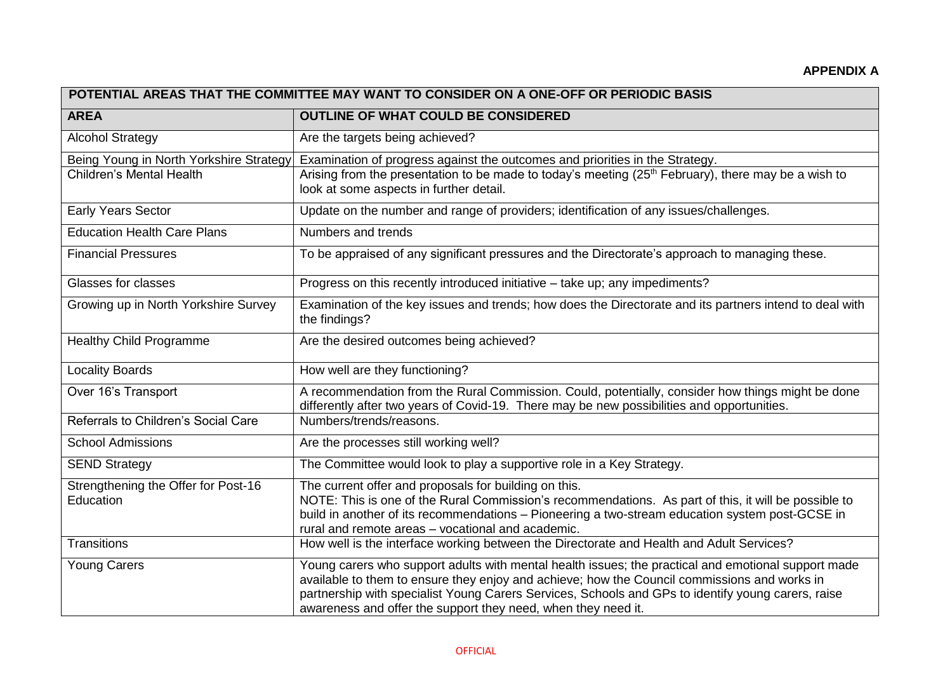| POTENTIAL AREAS THAT THE COMMITTEE MAY WANT TO CONSIDER ON A ONE-OFF OR PERIODIC BASIS |                                                                                                                                                                                                                                                                                                                                                                            |  |
|----------------------------------------------------------------------------------------|----------------------------------------------------------------------------------------------------------------------------------------------------------------------------------------------------------------------------------------------------------------------------------------------------------------------------------------------------------------------------|--|
| <b>AREA</b>                                                                            | <b>OUTLINE OF WHAT COULD BE CONSIDERED</b>                                                                                                                                                                                                                                                                                                                                 |  |
| <b>Alcohol Strategy</b>                                                                | Are the targets being achieved?                                                                                                                                                                                                                                                                                                                                            |  |
| <b>Children's Mental Health</b>                                                        | Being Young in North Yorkshire Strategy Examination of progress against the outcomes and priorities in the Strategy.<br>Arising from the presentation to be made to today's meeting (25 <sup>th</sup> February), there may be a wish to<br>look at some aspects in further detail.                                                                                         |  |
| Early Years Sector                                                                     | Update on the number and range of providers; identification of any issues/challenges.                                                                                                                                                                                                                                                                                      |  |
| <b>Education Health Care Plans</b>                                                     | Numbers and trends                                                                                                                                                                                                                                                                                                                                                         |  |
| <b>Financial Pressures</b>                                                             | To be appraised of any significant pressures and the Directorate's approach to managing these.                                                                                                                                                                                                                                                                             |  |
| Glasses for classes                                                                    | Progress on this recently introduced initiative - take up; any impediments?                                                                                                                                                                                                                                                                                                |  |
| Growing up in North Yorkshire Survey                                                   | Examination of the key issues and trends; how does the Directorate and its partners intend to deal with<br>the findings?                                                                                                                                                                                                                                                   |  |
| <b>Healthy Child Programme</b>                                                         | Are the desired outcomes being achieved?                                                                                                                                                                                                                                                                                                                                   |  |
| <b>Locality Boards</b>                                                                 | How well are they functioning?                                                                                                                                                                                                                                                                                                                                             |  |
| Over 16's Transport                                                                    | A recommendation from the Rural Commission. Could, potentially, consider how things might be done<br>differently after two years of Covid-19. There may be new possibilities and opportunities.                                                                                                                                                                            |  |
| Referrals to Children's Social Care                                                    | Numbers/trends/reasons.                                                                                                                                                                                                                                                                                                                                                    |  |
| <b>School Admissions</b>                                                               | Are the processes still working well?                                                                                                                                                                                                                                                                                                                                      |  |
| <b>SEND Strategy</b>                                                                   | The Committee would look to play a supportive role in a Key Strategy.                                                                                                                                                                                                                                                                                                      |  |
| Strengthening the Offer for Post-16<br>Education                                       | The current offer and proposals for building on this.<br>NOTE: This is one of the Rural Commission's recommendations. As part of this, it will be possible to<br>build in another of its recommendations - Pioneering a two-stream education system post-GCSE in<br>rural and remote areas - vocational and academic.                                                      |  |
| Transitions                                                                            | How well is the interface working between the Directorate and Health and Adult Services?                                                                                                                                                                                                                                                                                   |  |
| <b>Young Carers</b>                                                                    | Young carers who support adults with mental health issues; the practical and emotional support made<br>available to them to ensure they enjoy and achieve; how the Council commissions and works in<br>partnership with specialist Young Carers Services, Schools and GPs to identify young carers, raise<br>awareness and offer the support they need, when they need it. |  |